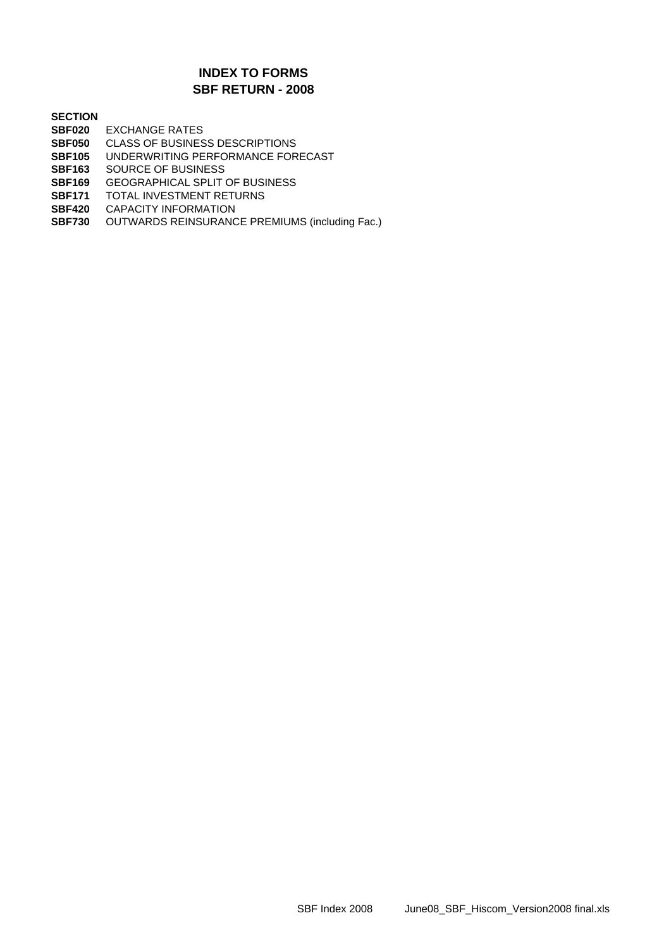### **SBF RETURN - 2008 INDEX TO FORMS**

#### **SECTION**

- **SBF020** EXCHANGE RATES
- **SBF050** CLASS OF BUSINESS DESCRIPTIONS
- **SBF105** UNDERWRITING PERFORMANCE FORECAST
- **SBF163** SOURCE OF BUSINESS
- **SBF169** GEOGRAPHICAL SPLIT OF BUSINESS
- **SBF171 TOTAL INVESTMENT RETURNS<br><b>SBF420** CAPACITY INFORMATION
- **CAPACITY INFORMATION**
- **SBF730** OUTWARDS REINSURANCE PREMIUMS (including Fac.)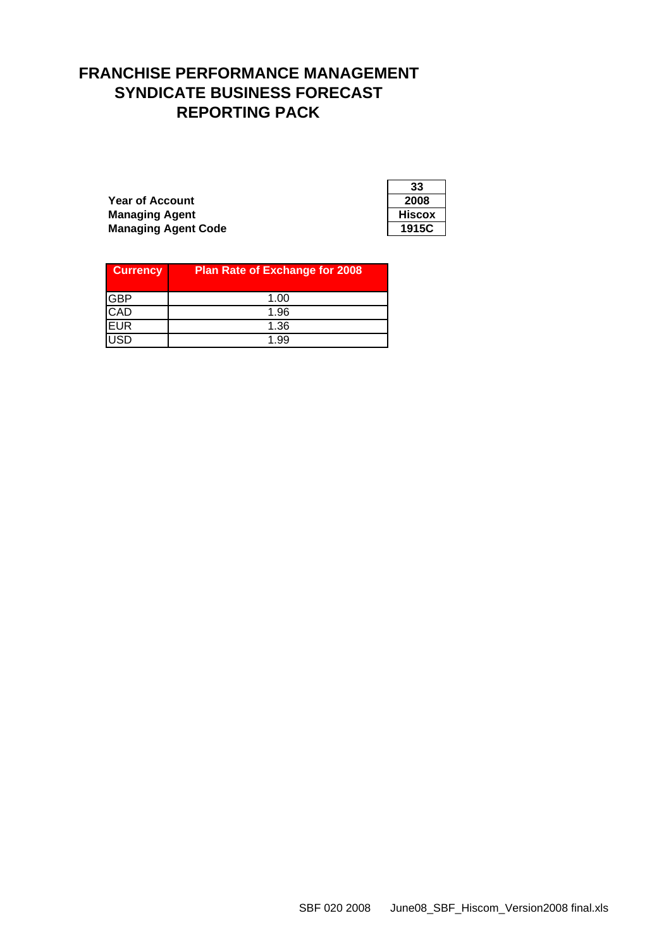# **FRANCHISE PERFORMANCE MANAGEMENT SYNDICATE BUSINESS FORECAST REPORTING PACK**

**Year of Account Managing Agent Managing Agent Code** 

| 33     |
|--------|
| 2008   |
| Hiscox |
| 1915C  |

| <b>Currency</b> | <b>Plan Rate of Exchange for 2008</b> |
|-----------------|---------------------------------------|
| <b>GBP</b>      | 1.00                                  |
| CAD             | 1.96                                  |
| <b>EUR</b>      | 1.36                                  |
| JSD             | 1.99                                  |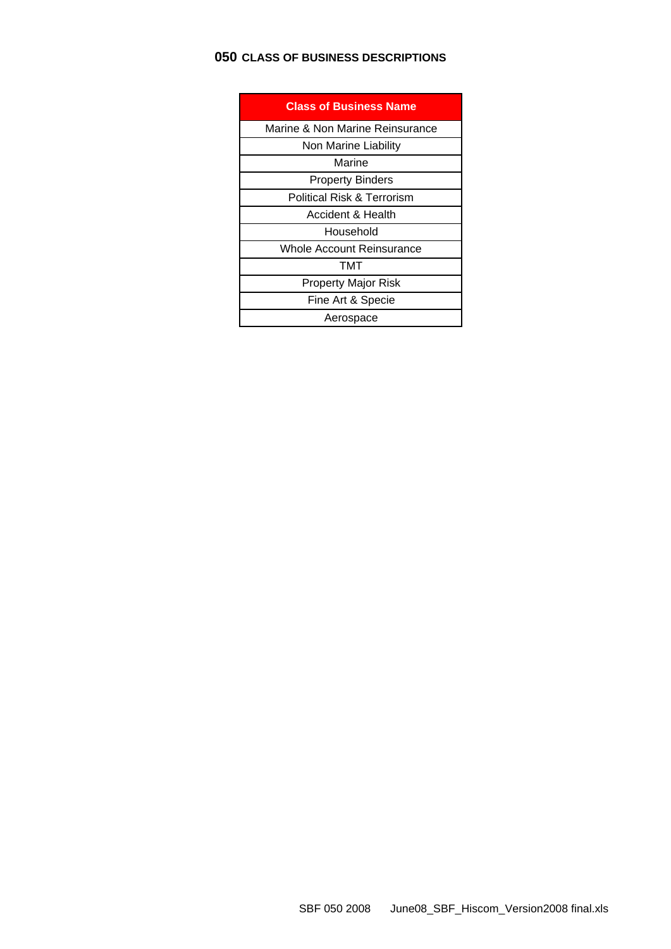## **050 CLASS OF BUSINESS DESCRIPTIONS**

| <b>Class of Business Name</b>         |  |  |
|---------------------------------------|--|--|
| Marine & Non Marine Reinsurance       |  |  |
| Non Marine Liability                  |  |  |
| Marine                                |  |  |
| <b>Property Binders</b>               |  |  |
| <b>Political Risk &amp; Terrorism</b> |  |  |
| Accident & Health                     |  |  |
| Household                             |  |  |
| Whole Account Reinsurance             |  |  |
| TMT                                   |  |  |
| Property Major Risk                   |  |  |
| Fine Art & Specie                     |  |  |
| Aerospace                             |  |  |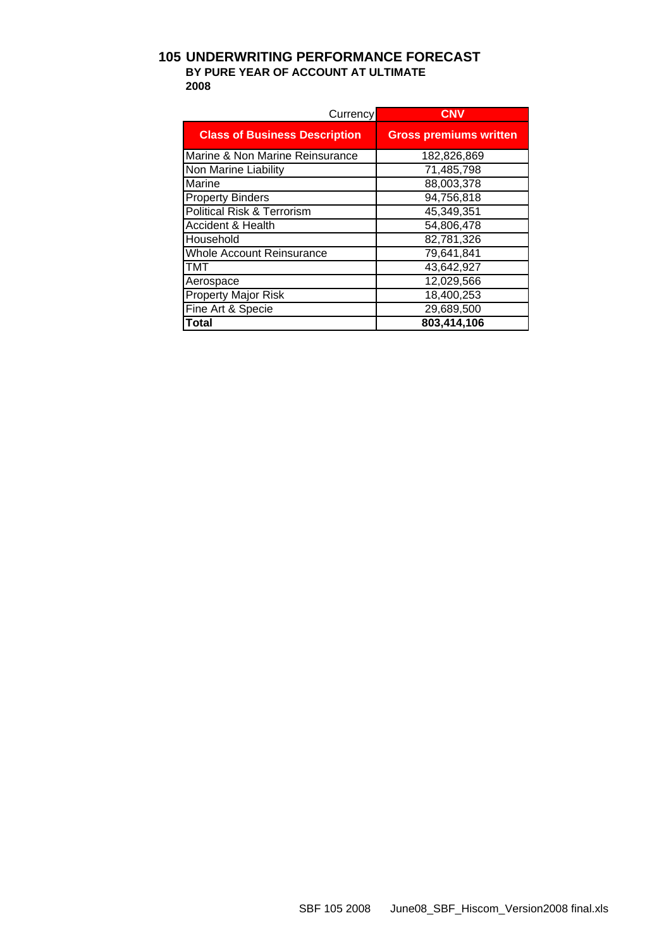### **105 UNDERWRITING PERFORMANCE FORECAST BY PURE YEAR OF ACCOUNT AT ULTIMATE 2008**

| Currency                              | <b>CNV</b>                    |
|---------------------------------------|-------------------------------|
| <b>Class of Business Description</b>  | <b>Gross premiums written</b> |
| Marine & Non Marine Reinsurance       | 182,826,869                   |
| Non Marine Liability                  | 71,485,798                    |
| Marine                                | 88,003,378                    |
| <b>Property Binders</b>               | 94,756,818                    |
| <b>Political Risk &amp; Terrorism</b> | 45,349,351                    |
| <b>Accident &amp; Health</b>          | 54,806,478                    |
| Household                             | 82,781,326                    |
| <b>Whole Account Reinsurance</b>      | 79,641,841                    |
| тмт                                   | 43,642,927                    |
| Aerospace                             | 12,029,566                    |
| <b>Property Major Risk</b>            | 18,400,253                    |
| Fine Art & Specie                     | 29,689,500                    |
| <b>Total</b>                          | 803,414,106                   |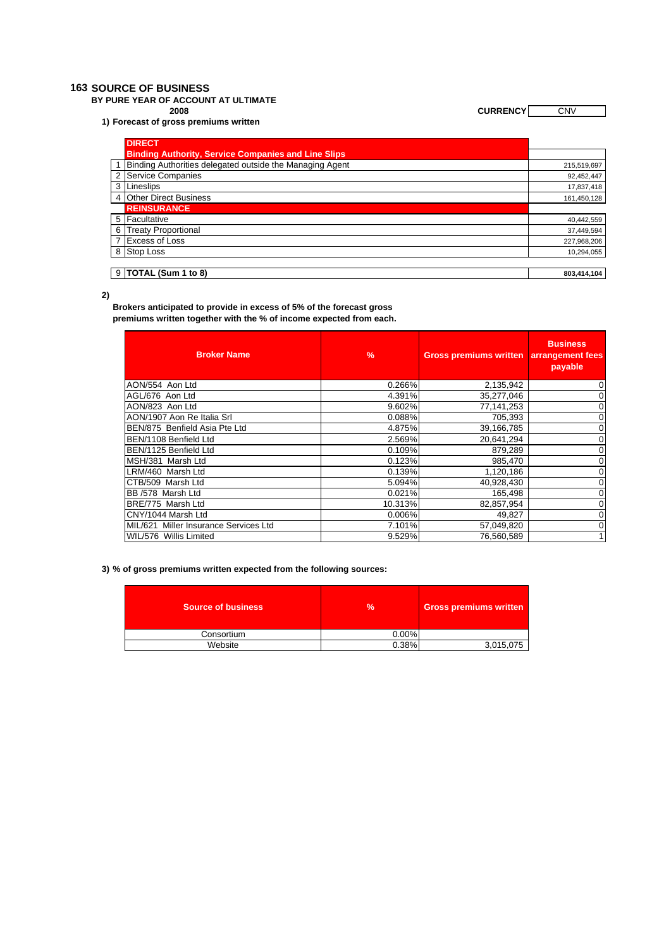#### **163 SOURCE OF BUSINESS**

**BY PURE YEAR OF ACCOUNT AT ULTIMATE**

**1) Forecast of gross premiums written** 

**2008 CURRENCY** CNV

|   | <b>DIRECT</b>                                              |             |
|---|------------------------------------------------------------|-------------|
|   | <b>Binding Authority, Service Companies and Line Slips</b> |             |
|   | Binding Authorities delegated outside the Managing Agent   | 215,519,697 |
|   | Service Companies                                          | 92,452,447  |
|   | 3 Lineslips                                                | 17.837.418  |
|   | 4 Other Direct Business                                    | 161,450,128 |
|   | <b>REINSURANCE</b>                                         |             |
|   | 5 Facultative                                              | 40,442,559  |
| 6 | <b>Treaty Proportional</b>                                 | 37,449,594  |
|   | <b>Excess of Loss</b>                                      | 227,968,206 |
|   | <b>Stop Loss</b>                                           | 10,294,055  |
|   |                                                            |             |
|   | $9$ TOTAL (Sum 1 to 8)                                     | 803.414.104 |

**2)**

**Brokers anticipated to provide in excess of 5% of the forecast gross premiums written together with the % of income expected from each.** 

| <b>Broker Name</b>                    | $\frac{9}{6}$ | <b>Gross premiums written</b> | <b>Business</b><br>arrangement fees<br>payable |
|---------------------------------------|---------------|-------------------------------|------------------------------------------------|
| AON/554 Aon Ltd                       | 0.266%        | 2,135,942                     | 0                                              |
| AGL/676 Aon Ltd                       | 4.391%        | 35,277,046                    | 0                                              |
| AON/823 Aon Ltd                       | 9.602%        | 77,141,253                    | 0                                              |
| AON/1907 Aon Re Italia Srl            | 0.088%        | 705,393                       | 0                                              |
| BEN/875 Benfield Asia Pte Ltd         | 4.875%        | 39,166,785                    | 0                                              |
| BEN/1108 Benfield Ltd                 | 2.569%        | 20,641,294                    | 0                                              |
| BEN/1125 Benfield Ltd                 | 0.109%        | 879,289                       | 0                                              |
| MSH/381 Marsh Ltd                     | 0.123%        | 985,470                       | 0                                              |
| LRM/460 Marsh Ltd                     | 0.139%        | 1,120,186                     | 0                                              |
| ICTB/509 Marsh Ltd                    | 5.094%        | 40,928,430                    | 0                                              |
| BB /578 Marsh Ltd                     | 0.021%        | 165,498                       | 0                                              |
| BRE/775 Marsh Ltd                     | 10.313%       | 82,857,954                    | 0                                              |
| ICNY/1044 Marsh Ltd                   | $0.006\%$     | 49,827                        | 0                                              |
| MIL/621 Miller Insurance Services Ltd | 7.101%        | 57,049,820                    | 0                                              |
| WIL/576 Willis Limited                | 9.529%        | 76.560.589                    | $\mathbf{1}$                                   |

**3) % of gross premiums written expected from the following sources:**

| <b>Source of business</b> | %        | <b>Gross premiums written</b> |
|---------------------------|----------|-------------------------------|
| Consortium                | $0.00\%$ |                               |
| Website                   | 0.38%    | 3,015,075                     |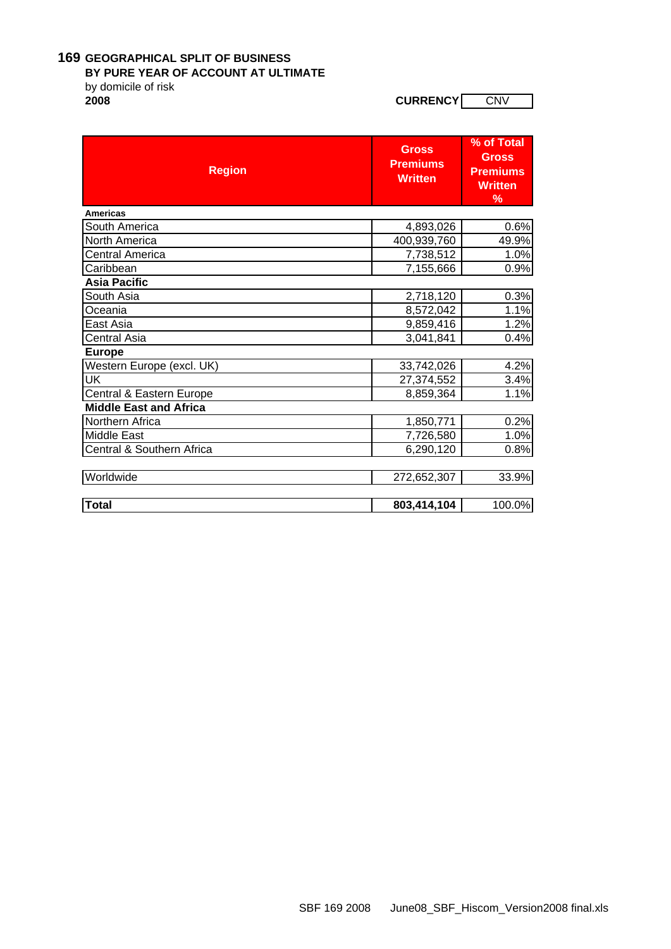#### **169 GEOGRAPHICAL SPLIT OF BUSINESS**

#### **BY PURE YEAR OF ACCOUNT AT ULTIMATE**

by domicile of risk<br>2008

**2008 CURRENCY** CNV

| <b>Region</b>                 | <b>Gross</b><br><b>Premiums</b><br><b>Written</b> | % of Total<br><b>Gross</b><br><b>Premiums</b><br><b>Written</b><br>% |
|-------------------------------|---------------------------------------------------|----------------------------------------------------------------------|
| <b>Americas</b>               |                                                   |                                                                      |
| South America                 | 4,893,026                                         | 0.6%                                                                 |
| <b>North America</b>          | 400,939,760                                       | 49.9%                                                                |
| Central America               | 7,738,512                                         | 1.0%                                                                 |
| Caribbean                     | 7,155,666                                         | 0.9%                                                                 |
| <b>Asia Pacific</b>           |                                                   |                                                                      |
| South Asia                    | 2,718,120                                         | 0.3%                                                                 |
| Oceania                       | 8,572,042                                         | 1.1%                                                                 |
| East Asia                     | 9,859,416                                         | 1.2%                                                                 |
| Central Asia                  | 3,041,841                                         | 0.4%                                                                 |
| <b>Europe</b>                 |                                                   |                                                                      |
| Western Europe (excl. UK)     | 33,742,026                                        | 4.2%                                                                 |
| UK                            | 27,374,552                                        | 3.4%                                                                 |
| Central & Eastern Europe      | 8,859,364                                         | 1.1%                                                                 |
| <b>Middle East and Africa</b> |                                                   |                                                                      |
| Northern Africa               | 1,850,771                                         | 0.2%                                                                 |
| Middle East                   | 7,726,580                                         | 1.0%                                                                 |
| Central & Southern Africa     | 6,290,120                                         | 0.8%                                                                 |
| Worldwide                     | 272,652,307                                       | 33.9%                                                                |
| <b>Total</b>                  | 803,414,104                                       | 100.0%                                                               |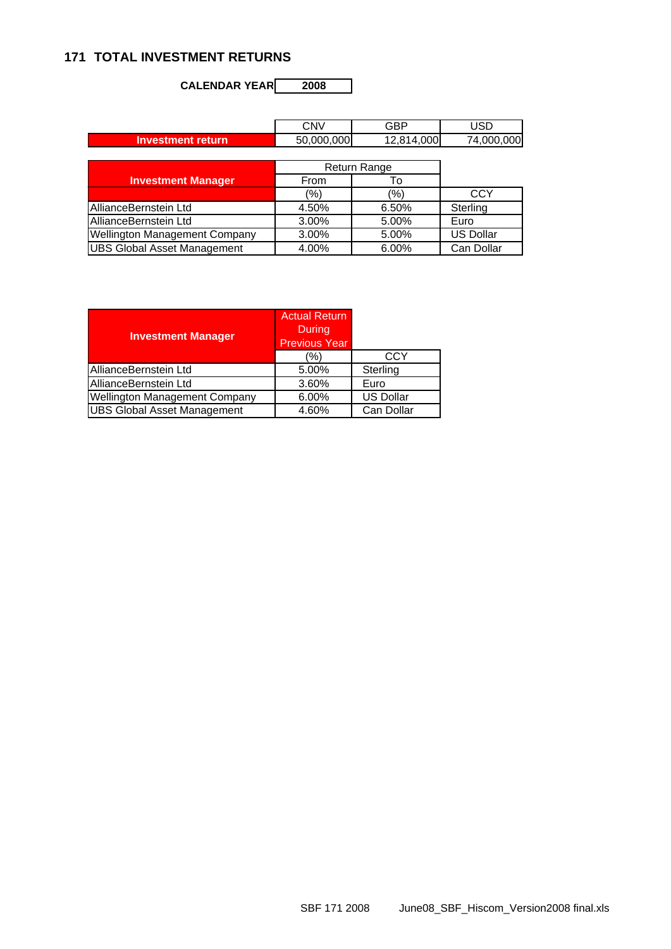### **171 TOTAL INVESTMENT RETURNS**

**CALENDAR YEAR 2008**

|                                      | <b>CNV</b> | <b>GBP</b>   | USD              |
|--------------------------------------|------------|--------------|------------------|
| <b>Investment return</b>             | 50,000,000 | 12,814,000   | 74,000,000       |
|                                      |            |              |                  |
|                                      |            | Return Range |                  |
| <b>Investment Manager</b>            | From       | To           |                  |
|                                      | (%)        | (%)          | <b>CCY</b>       |
| AllianceBernstein Ltd                | 4.50%      | 6.50%        | Sterling         |
| AllianceBernstein Ltd                | 3.00%      | 5.00%        | Euro             |
| <b>Wellington Management Company</b> | 3.00%      | 5.00%        | <b>US Dollar</b> |
| <b>UBS Global Asset Management</b>   | 4.00%      | 6.00%        | Can Dollar       |

| <b>Investment Manager</b>            | <b>Actual Return</b><br>During<br><b>Previous Year</b> |                  |
|--------------------------------------|--------------------------------------------------------|------------------|
|                                      | (%)                                                    | CCY              |
| AllianceBernstein Ltd                | 5.00%                                                  | Sterling         |
| AllianceBernstein Ltd                | 3.60%                                                  | Euro             |
| <b>Wellington Management Company</b> | 6.00%                                                  | <b>US Dollar</b> |
| <b>UBS Global Asset Management</b>   | 4.60%                                                  | Can Dollar       |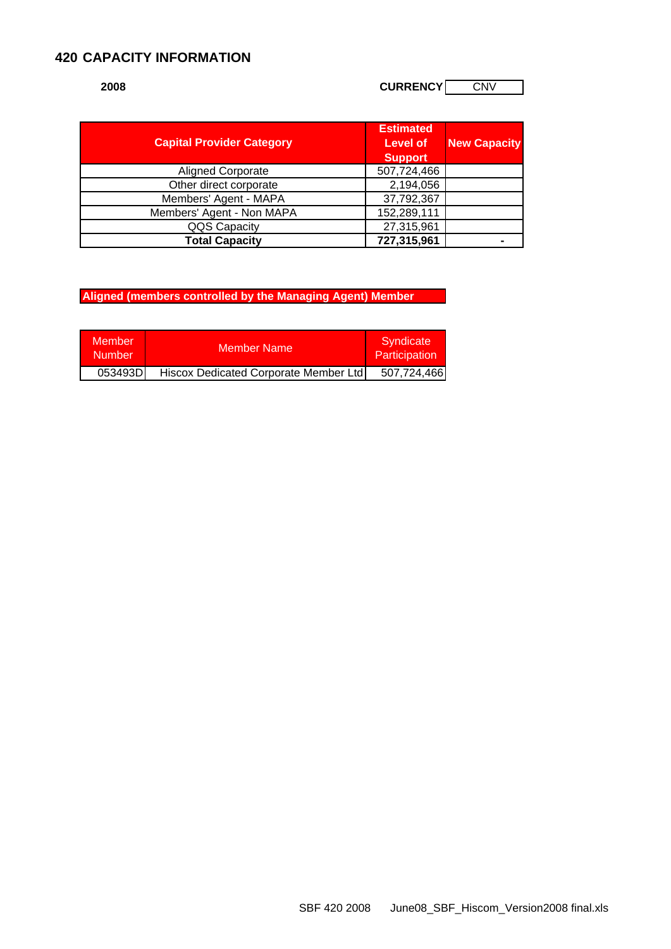### **420 CAPACITY INFORMATION**

## **2008 CURRENCY** CURRENCY CONV

| <b>Capital Provider Category</b> | <b>Estimated</b><br><b>Level of</b><br><b>Support</b> | <b>New Capacity</b> |
|----------------------------------|-------------------------------------------------------|---------------------|
| <b>Aligned Corporate</b>         | 507,724,466                                           |                     |
| Other direct corporate           | 2,194,056                                             |                     |
| Members' Agent - MAPA            | 37,792,367                                            |                     |
| Members' Agent - Non MAPA        | 152,289,111                                           |                     |
| QQS Capacity                     | 27,315,961                                            |                     |
| <b>Total Capacity</b>            | 727,315,961                                           |                     |

**Aligned (members controlled by the Managing Agent) Member** 

| Member<br>Number <sup>1</sup> | <b>Member Name</b>                    | Syndicate<br>Participation |
|-------------------------------|---------------------------------------|----------------------------|
| 053493DI                      | Hiscox Dedicated Corporate Member Ltd | 507,724,466                |